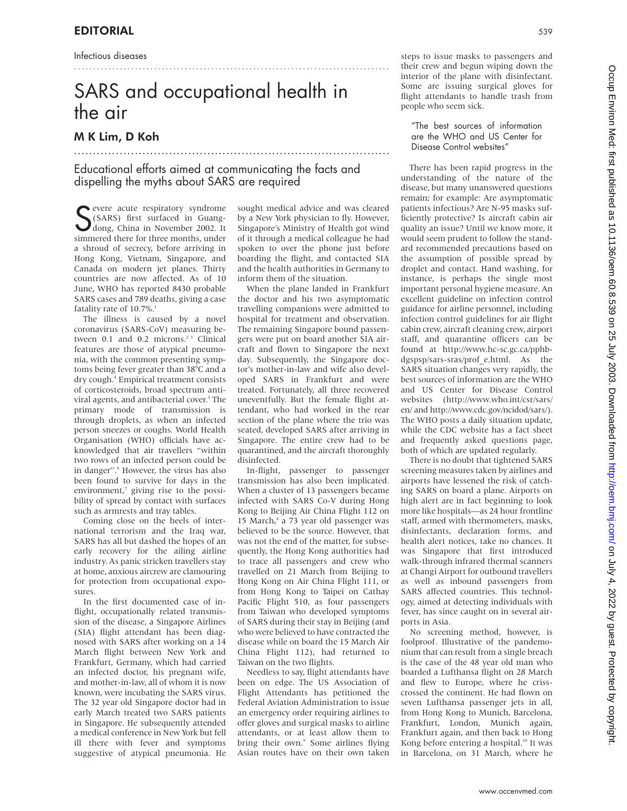Infectious diseases

# SARS and occupational health in the air

...................................................................................

## M K Lim, D Koh

## Educational efforts aimed at communicating the facts and dispelling the myths about SARS are required

...................................................................................

S evere acute respiratory syndrome<br>
S (SARS) first surfaced in Guang-<br>
dong, China in November 2002. It<br>
simmered there for three months under (SARS) first surfaced in Guangdong, China in November 2002. It simmered there for three months, under a shroud of secrecy, before arriving in Hong Kong, Vietnam, Singapore, and Canada on modern jet planes. Thirty countries are now affected. As of 10 June, WHO has reported 8430 probable SARS cases and 789 deaths, giving a case fatality rate of 10.7%.<sup>1</sup>

The illness is caused by a novel coronavirus (SARS-CoV) measuring between 0.1 and 0.2 microns.<sup>23</sup> Clinical features are those of atypical pneumonia, with the common presenting symptoms being fever greater than 38°C and a dry cough.4 Empirical treatment consists of corticosteroids, broad spectrum antiviral agents, and antibacterial cover.<sup>5</sup> The primary mode of transmission is through droplets, as when an infected person sneezes or coughs. World Health Organisation (WHO) officials have acknowledged that air travellers "within two rows of an infected person could be in danger".<sup>6</sup> However, the virus has also been found to survive for days in the environment,<sup>7</sup> giving rise to the possibility of spread by contact with surfaces such as armrests and tray tables.

Coming close on the heels of international terrorism and the Iraq war, SARS has all but dashed the hopes of an early recovery for the ailing airline industry. As panic stricken travellers stay at home, anxious aircrew are clamouring for protection from occupational exposures.

In the first documented case of inflight, occupationally related transmission of the disease, a Singapore Airlines (SIA) flight attendant has been diagnosed with SARS after working on a 14 March flight between New York and Frankfurt, Germany, which had carried an infected doctor, his pregnant wife, and mother-in-law, all of whom it is now known, were incubating the SARS virus. The 32 year old Singapore doctor had in early March treated two SARS patients in Singapore. He subsequently attended a medical conference in New York but fell ill there with fever and symptoms suggestive of atypical pneumonia. He

sought medical advice and was cleared by a New York physician to fly. However, Singapore's Ministry of Health got wind of it through a medical colleague he had spoken to over the phone just before boarding the flight, and contacted SIA and the health authorities in Germany to inform them of the situation.

When the plane landed in Frankfurt the doctor and his two asymptomatic travelling companions were admitted to hospital for treatment and observation. The remaining Singapore bound passengers were put on board another SIA aircraft and flown to Singapore the next day. Subsequently, the Singapore doctor's mother-in-law and wife also developed SARS in Frankfurt and were treated. Fortunately, all three recovered uneventfully. But the female flight attendant, who had worked in the rear section of the plane where the trio was seated, developed SARS after arriving in Singapore. The entire crew had to be quarantined, and the aircraft thoroughly disinfected.

In-flight, passenger to passenger transmission has also been implicated. When a cluster of 13 passengers became infected with SARS Co-V during Hong Kong to Beijing Air China Flight 112 on 15 March,<sup>8</sup> a 73 year old passenger was believed to be the source. However, that was not the end of the matter, for subsequently, the Hong Kong authorities had to trace all passengers and crew who travelled on 21 March from Beijing to Hong Kong on Air China Flight 111, or from Hong Kong to Taipei on Cathay Pacific Flight 510, as four passengers from Taiwan who developed symptoms of SARS during their stay in Beijing (and who were believed to have contracted the disease while on board the 15 March Air China Flight 112), had returned to Taiwan on the two flights.

Needless to say, flight attendants have been on edge. The US Association of Flight Attendants has petitioned the Federal Aviation Administration to issue an emergency order requiring airlines to offer gloves and surgical masks to airline attendants, or at least allow them to bring their own.<sup>9</sup> Some airlines flying Asian routes have on their own taken steps to issue masks to passengers and their crew and begun wiping down the interior of the plane with disinfectant. Some are issuing surgical gloves for flight attendants to handle trash from people who seem sick.

"The best sources of information are the WHO and US Center for Disease Control websites"

There has been rapid progress in the understanding of the nature of the disease, but many unanswered questions remain; for example: Are asymptomatic patients infectious? Are N-95 masks sufficiently protective? Is aircraft cabin air quality an issue? Until we know more, it would seem prudent to follow the standard recommended precautions based on the assumption of possible spread by droplet and contact. Hand washing, for instance, is perhaps the single most important personal hygiene measure. An excellent guideline on infection control guidance for airline personnel, including infection control guidelines for air flight cabin crew, aircraft cleaning crew, airport staff, and quarantine officers can be found at http://www.hc-sc.gc.ca/pphbdgspsp/sars-sras/prof\_e.html. As the SARS situation changes very rapidly, the best sources of information are the WHO and US Center for Disease Control websites (http://www.who.int/csr/sars/ en/ and http://www.cdc.gov/ncidod/sars/). The WHO posts a daily situation update, while the CDC website has a fact sheet and frequently asked questions page, both of which are updated regularly.

There is no doubt that tightened SARS screening measures taken by airlines and airports have lessened the risk of catching SARS on board a plane. Airports on high alert are in fact beginning to look more like hospitals—as 24 hour frontline staff, armed with thermometers, masks, disinfectants, declaration forms, and health alert notices, take no chances. It was Singapore that first introduced walk-through infrared thermal scanners at Changi Airport for outbound travellers as well as inbound passengers from SARS affected countries. This technology, aimed at detecting individuals with fever, has since caught on in several airports in Asia.

No screening method, however, is foolproof. Illustrative of the pandemonium that can result from a single breach is the case of the 48 year old man who boarded a Lufthansa flight on 28 March and flew to Europe, where he crisscrossed the continent. He had flown on seven Lufthansa passenger jets in all, from Hong Kong to Munich, Barcelona, Frankfurt, London, Munich again, Frankfurt again, and then back to Hong Kong before entering a hospital.<sup>10</sup> It was in Barcelona, on 31 March, where he